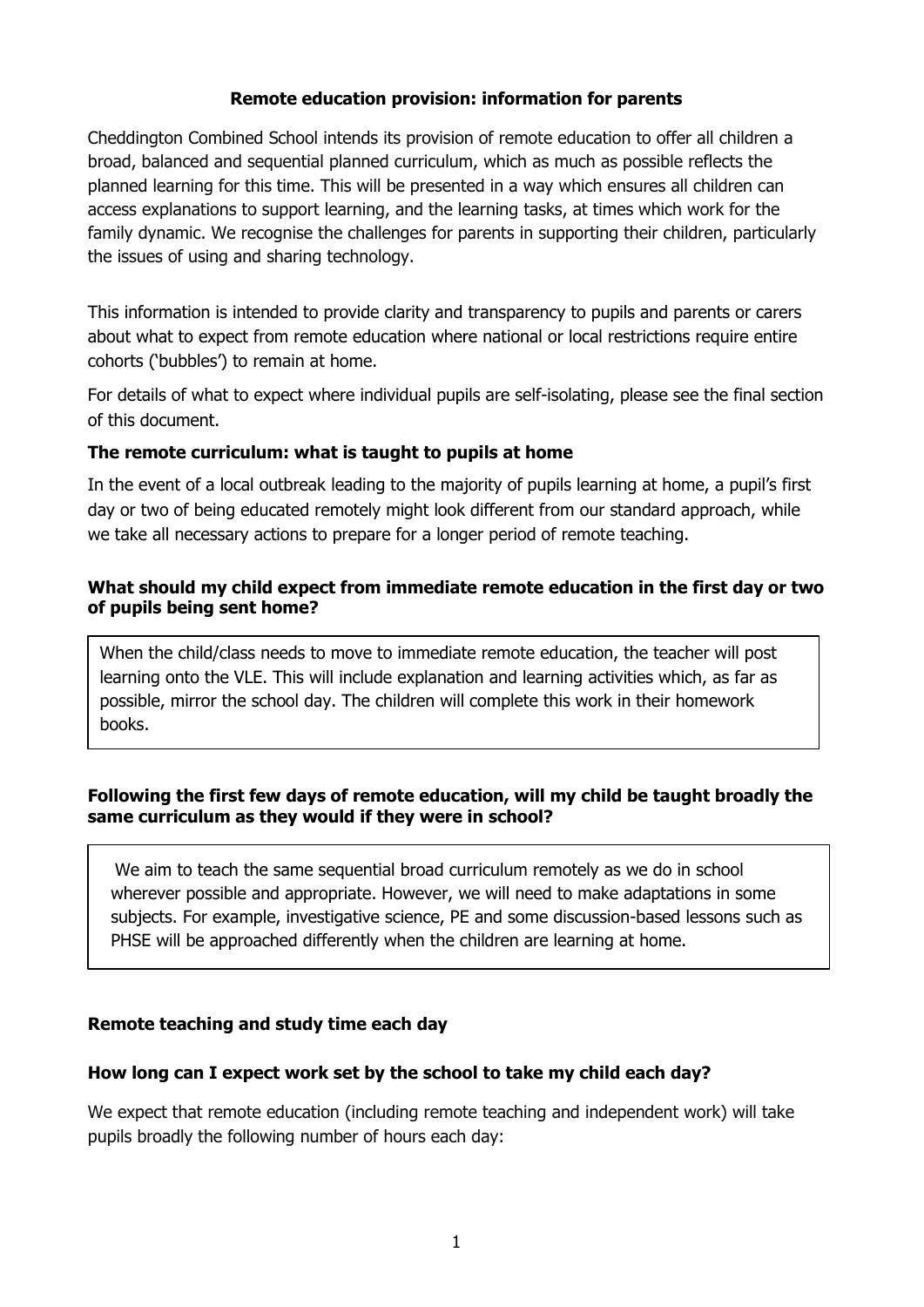### **Remote education provision: information for parents**

Cheddington Combined School intends its provision of remote education to offer all children a broad, balanced and sequential planned curriculum, which as much as possible reflects the planned learning for this time. This will be presented in a way which ensures all children can access explanations to support learning, and the learning tasks, at times which work for the family dynamic. We recognise the challenges for parents in supporting their children, particularly the issues of using and sharing technology.

This information is intended to provide clarity and transparency to pupils and parents or carers about what to expect from remote education where national or local restrictions require entire cohorts ('bubbles') to remain at home.

For details of what to expect where individual pupils are self-isolating, please see the final section of this document.

#### **The remote curriculum: what is taught to pupils at home**

In the event of a local outbreak leading to the majority of pupils learning at home, a pupil's first day or two of being educated remotely might look different from our standard approach, while we take all necessary actions to prepare for a longer period of remote teaching.

### **What should my child expect from immediate remote education in the first day or two of pupils being sent home?**

When the child/class needs to move to immediate remote education, the teacher will post learning onto the VLE. This will include explanation and learning activities which, as far as possible, mirror the school day. The children will complete this work in their homework books.

#### **Following the first few days of remote education, will my child be taught broadly the same curriculum as they would if they were in school?**

 We aim to teach the same sequential broad curriculum remotely as we do in school wherever possible and appropriate. However, we will need to make adaptations in some subjects. For example, investigative science, PE and some discussion-based lessons such as PHSE will be approached differently when the children are learning at home.

#### **Remote teaching and study time each day**

#### **How long can I expect work set by the school to take my child each day?**

We expect that remote education (including remote teaching and independent work) will take pupils broadly the following number of hours each day: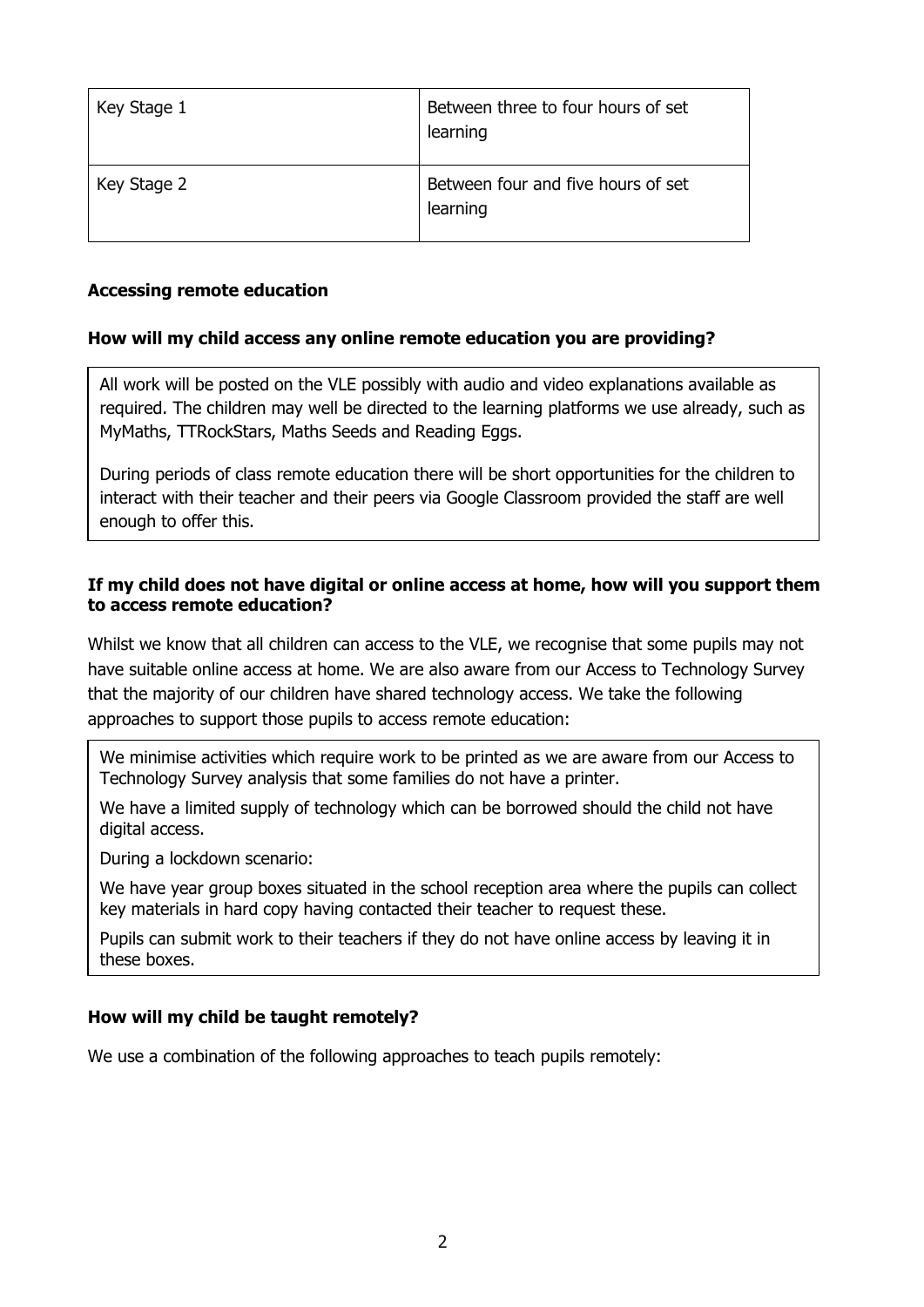| Key Stage 1 | Between three to four hours of set<br>learning |
|-------------|------------------------------------------------|
| Key Stage 2 | Between four and five hours of set<br>learning |

#### **Accessing remote education**

#### **How will my child access any online remote education you are providing?**

All work will be posted on the VLE possibly with audio and video explanations available as required. The children may well be directed to the learning platforms we use already, such as MyMaths, TTRockStars, Maths Seeds and Reading Eggs.

During periods of class remote education there will be short opportunities for the children to interact with their teacher and their peers via Google Classroom provided the staff are well enough to offer this.

#### **If my child does not have digital or online access at home, how will you support them to access remote education?**

Whilst we know that all children can access to the VLE, we recognise that some pupils may not have suitable online access at home. We are also aware from our Access to Technology Survey that the majority of our children have shared technology access. We take the following approaches to support those pupils to access remote education:

We minimise activities which require work to be printed as we are aware from our Access to Technology Survey analysis that some families do not have a printer.

We have a limited supply of technology which can be borrowed should the child not have digital access.

During a lockdown scenario:

We have year group boxes situated in the school reception area where the pupils can collect key materials in hard copy having contacted their teacher to request these.

Pupils can submit work to their teachers if they do not have online access by leaving it in these boxes.

### **How will my child be taught remotely?**

We use a combination of the following approaches to teach pupils remotely: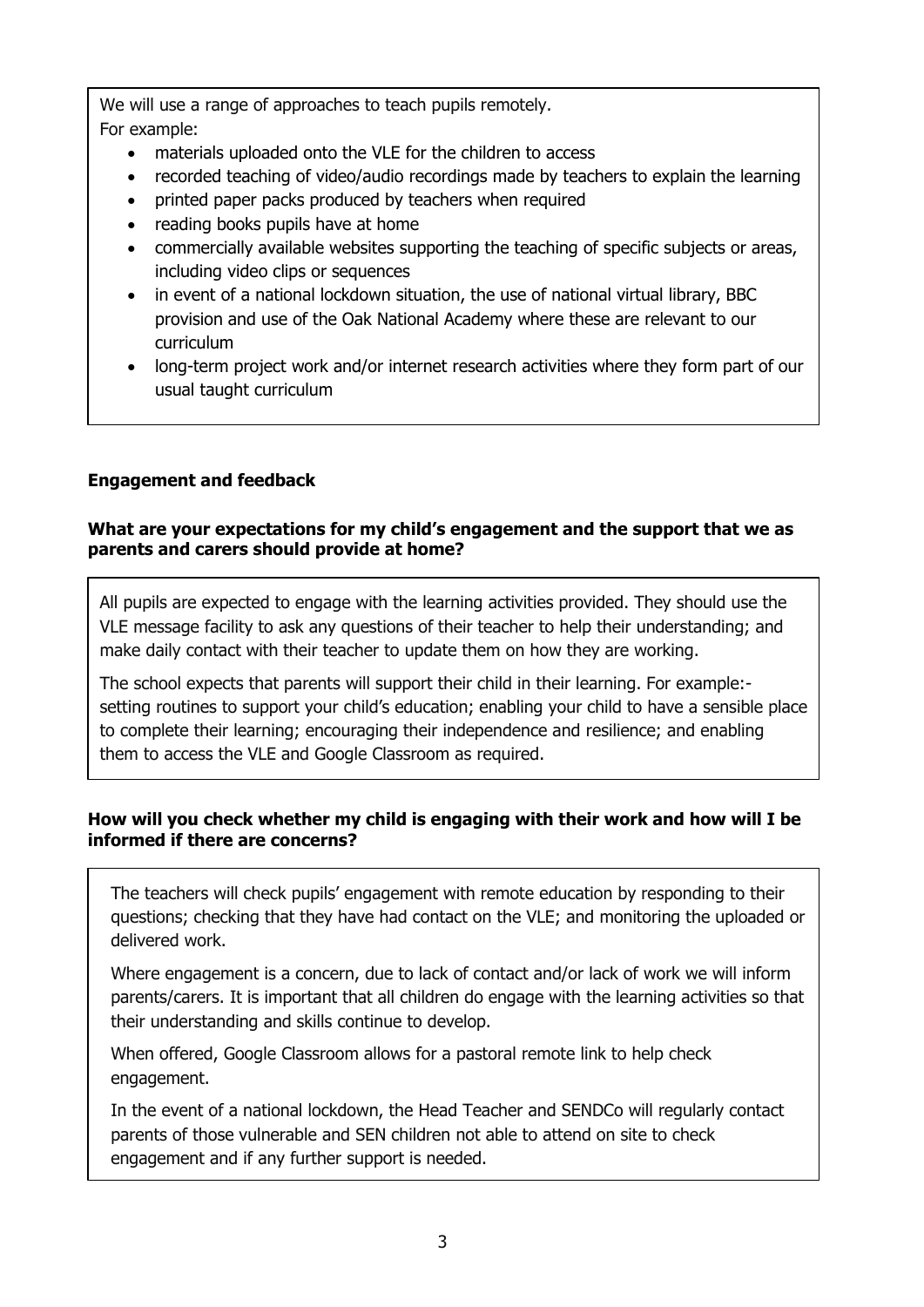We will use a range of approaches to teach pupils remotely. For example:

- materials uploaded onto the VLE for the children to access
- recorded teaching of video/audio recordings made by teachers to explain the learning
- printed paper packs produced by teachers when required
- reading books pupils have at home
- commercially available websites supporting the teaching of specific subjects or areas, including video clips or sequences
- in event of a national lockdown situation, the use of national virtual library, BBC provision and use of the Oak National Academy where these are relevant to our curriculum
- long-term project work and/or internet research activities where they form part of our usual taught curriculum

### **Engagement and feedback**

#### **What are your expectations for my child's engagement and the support that we as parents and carers should provide at home?**

All pupils are expected to engage with the learning activities provided. They should use the VLE message facility to ask any questions of their teacher to help their understanding; and make daily contact with their teacher to update them on how they are working.

The school expects that parents will support their child in their learning. For example: setting routines to support your child's education; enabling your child to have a sensible place to complete their learning; encouraging their independence and resilience; and enabling them to access the VLE and Google Classroom as required.

#### **How will you check whether my child is engaging with their work and how will I be informed if there are concerns?**

The teachers will check pupils' engagement with remote education by responding to their questions; checking that they have had contact on the VLE; and monitoring the uploaded or delivered work.

Where engagement is a concern, due to lack of contact and/or lack of work we will inform parents/carers. It is important that all children do engage with the learning activities so that their understanding and skills continue to develop.

When offered, Google Classroom allows for a pastoral remote link to help check engagement.

In the event of a national lockdown, the Head Teacher and SENDCo will regularly contact parents of those vulnerable and SEN children not able to attend on site to check engagement and if any further support is needed.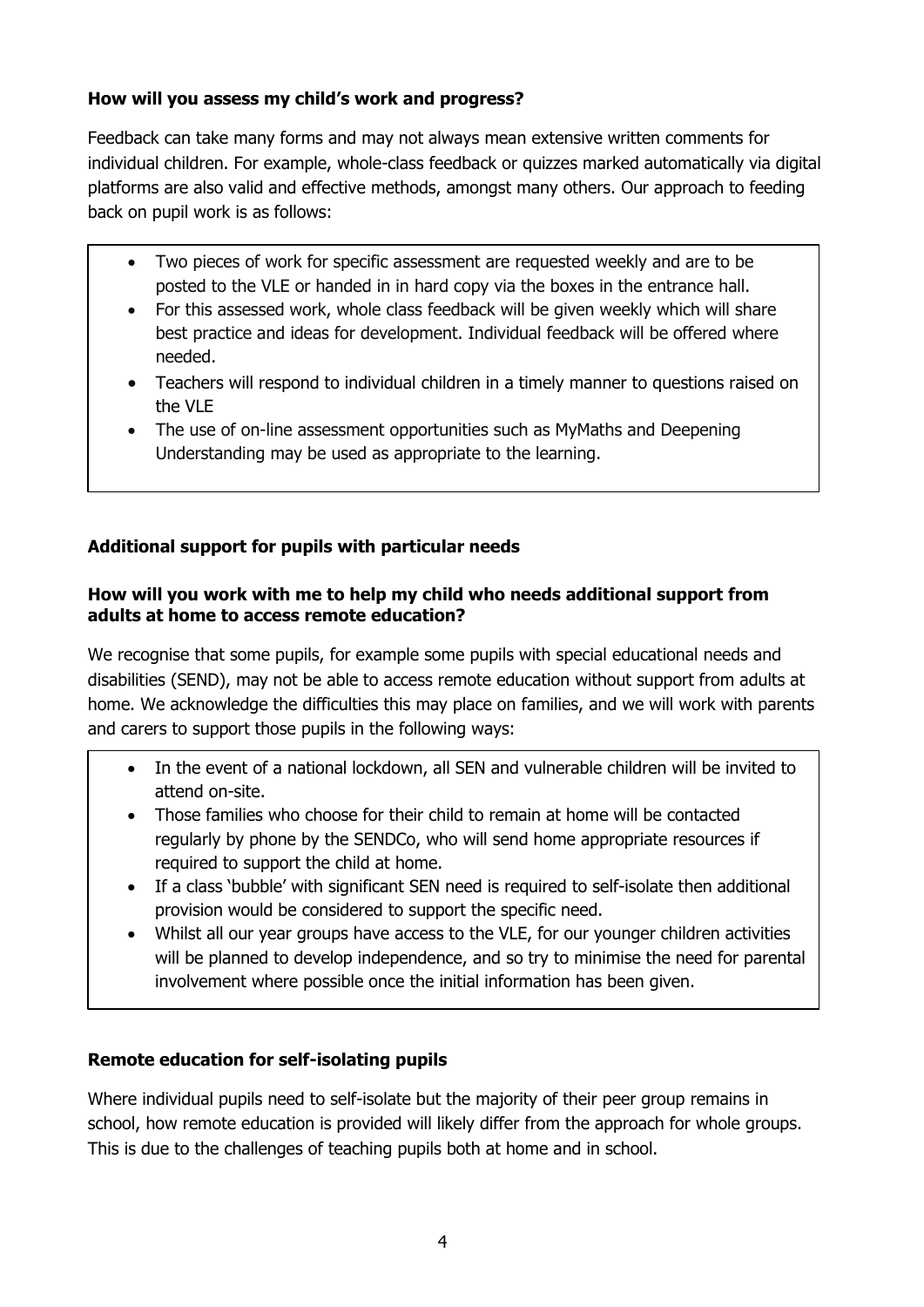# **How will you assess my child's work and progress?**

Feedback can take many forms and may not always mean extensive written comments for individual children. For example, whole-class feedback or quizzes marked automatically via digital platforms are also valid and effective methods, amongst many others. Our approach to feeding back on pupil work is as follows:

- Two pieces of work for specific assessment are requested weekly and are to be posted to the VLE or handed in in hard copy via the boxes in the entrance hall.
- For this assessed work, whole class feedback will be given weekly which will share best practice and ideas for development. Individual feedback will be offered where needed.
- Teachers will respond to individual children in a timely manner to questions raised on the VI<sub>F</sub>
- The use of on-line assessment opportunities such as MyMaths and Deepening Understanding may be used as appropriate to the learning.

# **Additional support for pupils with particular needs**

## **How will you work with me to help my child who needs additional support from adults at home to access remote education?**

We recognise that some pupils, for example some pupils with special educational needs and disabilities (SEND), may not be able to access remote education without support from adults at home. We acknowledge the difficulties this may place on families, and we will work with parents and carers to support those pupils in the following ways:

- In the event of a national lockdown, all SEN and vulnerable children will be invited to attend on-site.
- Those families who choose for their child to remain at home will be contacted regularly by phone by the SENDCo, who will send home appropriate resources if required to support the child at home.
- If a class 'bubble' with significant SEN need is required to self-isolate then additional provision would be considered to support the specific need.
- Whilst all our year groups have access to the VLE, for our younger children activities will be planned to develop independence, and so try to minimise the need for parental involvement where possible once the initial information has been given.

# **Remote education for self-isolating pupils**

Where individual pupils need to self-isolate but the majority of their peer group remains in school, how remote education is provided will likely differ from the approach for whole groups. This is due to the challenges of teaching pupils both at home and in school.